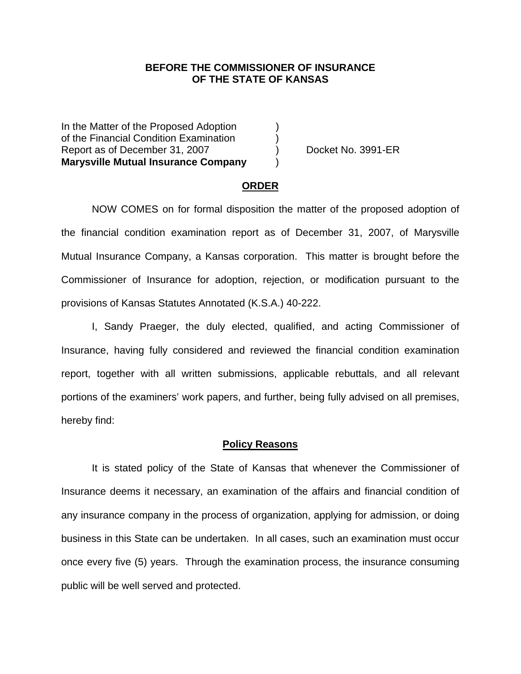### **BEFORE THE COMMISSIONER OF INSURANCE OF THE STATE OF KANSAS**

In the Matter of the Proposed Adoption of the Financial Condition Examination ) Report as of December 31, 2007 (and Separate No. 3991-ER **Marysville Mutual Insurance Company** )

#### **ORDER**

 NOW COMES on for formal disposition the matter of the proposed adoption of the financial condition examination report as of December 31, 2007, of Marysville Mutual Insurance Company, a Kansas corporation. This matter is brought before the Commissioner of Insurance for adoption, rejection, or modification pursuant to the provisions of Kansas Statutes Annotated (K.S.A.) 40-222.

 I, Sandy Praeger, the duly elected, qualified, and acting Commissioner of Insurance, having fully considered and reviewed the financial condition examination report, together with all written submissions, applicable rebuttals, and all relevant portions of the examiners' work papers, and further, being fully advised on all premises, hereby find:

#### **Policy Reasons**

 It is stated policy of the State of Kansas that whenever the Commissioner of Insurance deems it necessary, an examination of the affairs and financial condition of any insurance company in the process of organization, applying for admission, or doing business in this State can be undertaken. In all cases, such an examination must occur once every five (5) years. Through the examination process, the insurance consuming public will be well served and protected.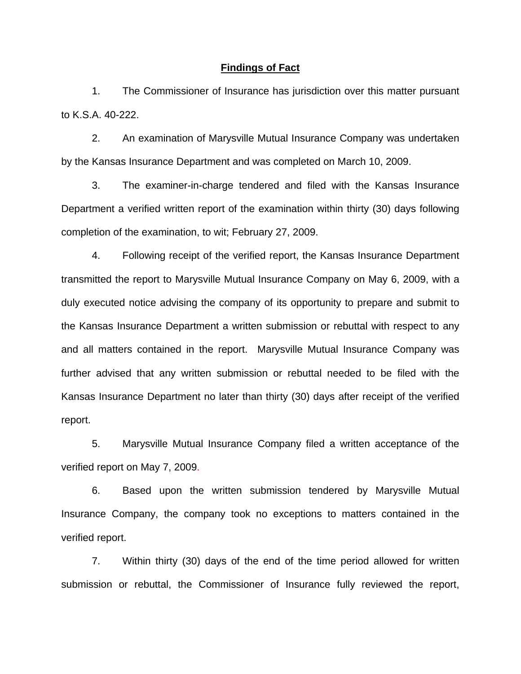### **Findings of Fact**

 1. The Commissioner of Insurance has jurisdiction over this matter pursuant to K.S.A. 40-222.

 2. An examination of Marysville Mutual Insurance Company was undertaken by the Kansas Insurance Department and was completed on March 10, 2009.

 3. The examiner-in-charge tendered and filed with the Kansas Insurance Department a verified written report of the examination within thirty (30) days following completion of the examination, to wit; February 27, 2009.

 4. Following receipt of the verified report, the Kansas Insurance Department transmitted the report to Marysville Mutual Insurance Company on May 6, 2009, with a duly executed notice advising the company of its opportunity to prepare and submit to the Kansas Insurance Department a written submission or rebuttal with respect to any and all matters contained in the report. Marysville Mutual Insurance Company was further advised that any written submission or rebuttal needed to be filed with the Kansas Insurance Department no later than thirty (30) days after receipt of the verified report.

 5. Marysville Mutual Insurance Company filed a written acceptance of the verified report on May 7, 2009.

6. Based upon the written submission tendered by Marysville Mutual Insurance Company, the company took no exceptions to matters contained in the verified report.

 7. Within thirty (30) days of the end of the time period allowed for written submission or rebuttal, the Commissioner of Insurance fully reviewed the report,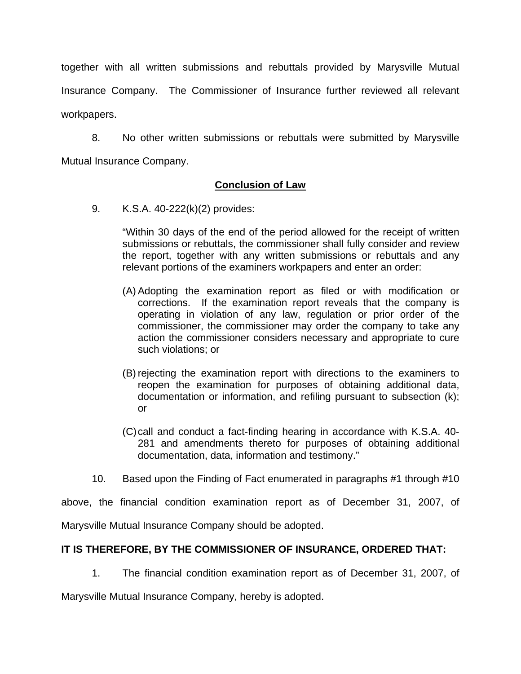together with all written submissions and rebuttals provided by Marysville Mutual Insurance Company. The Commissioner of Insurance further reviewed all relevant workpapers.

 8. No other written submissions or rebuttals were submitted by Marysville Mutual Insurance Company.

## **Conclusion of Law**

9. K.S.A. 40-222(k)(2) provides:

"Within 30 days of the end of the period allowed for the receipt of written submissions or rebuttals, the commissioner shall fully consider and review the report, together with any written submissions or rebuttals and any relevant portions of the examiners workpapers and enter an order:

- (A) Adopting the examination report as filed or with modification or corrections. If the examination report reveals that the company is operating in violation of any law, regulation or prior order of the commissioner, the commissioner may order the company to take any action the commissioner considers necessary and appropriate to cure such violations; or
- (B) rejecting the examination report with directions to the examiners to reopen the examination for purposes of obtaining additional data, documentation or information, and refiling pursuant to subsection (k); or
- (C) call and conduct a fact-finding hearing in accordance with K.S.A. 40- 281 and amendments thereto for purposes of obtaining additional documentation, data, information and testimony."
- 10. Based upon the Finding of Fact enumerated in paragraphs #1 through #10

above, the financial condition examination report as of December 31, 2007, of

Marysville Mutual Insurance Company should be adopted.

# **IT IS THEREFORE, BY THE COMMISSIONER OF INSURANCE, ORDERED THAT:**

1. The financial condition examination report as of December 31, 2007, of

Marysville Mutual Insurance Company, hereby is adopted.